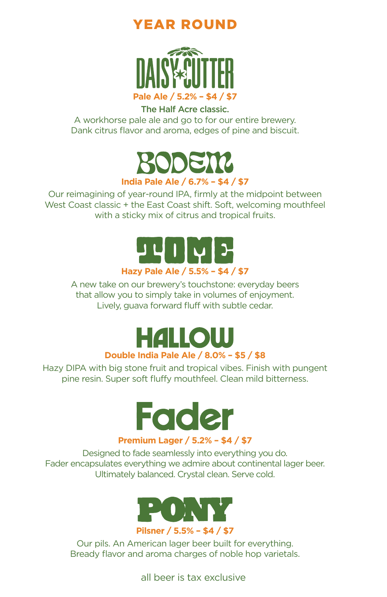#### YEAR ROUND



#### The Half Acre classic.

A workhorse pale ale and go to for our entire brewery. Dank citrus flavor and aroma, edges of pine and biscuit.



Our reimagining of year-round IPA, firmly at the midpoint between West Coast classic + the East Coast shift. Soft, welcoming mouthfeel with a sticky mix of citrus and tropical fruits.



A new take on our brewery's touchstone: everyday beers that allow you to simply take in volumes of enjoyment. Lively, guava forward fluff with subtle cedar.

> **HALLOW Double India Pale Ale / 8.0% – \$5 / \$8**

Hazy DIPA with big stone fruit and tropical vibes. Finish with pungent pine resin. Super soft fluffy mouthfeel. Clean mild bitterness.



**Premium Lager / 5.2% – \$4 / \$7**

Designed to fade seamlessly into everything you do. Fader encapsulates everything we admire about continental lager beer. Ultimately balanced. Crystal clean. Serve cold.



Our pils. An American lager beer built for everything. Bready flavor and aroma charges of noble hop varietals.

all beer is tax exclusive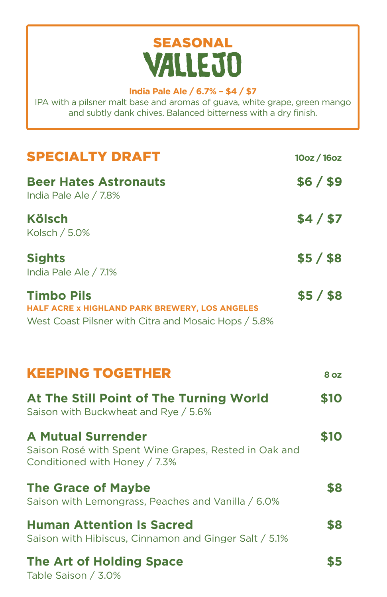# SEASONAL<br>VALLEJO

#### **India Pale Ale / 6.7% – \$4 / \$7**

IPA with a pilsner malt base and aromas of guava, white grape, green mango and subtly dank chives. Balanced bitterness with a dry finish.

| <b>SPECIALTY DRAFT</b>                                                                                                      | 10oz / 16oz |
|-----------------------------------------------------------------------------------------------------------------------------|-------------|
| <b>Beer Hates Astronauts</b><br>India Pale Ale / 7.8%                                                                       | \$6 / \$9   |
| <b>Kölsch</b><br>Kolsch / 5.0%                                                                                              | \$4/\$7     |
| <b>Sights</b><br>India Pale Ale / 7.1%                                                                                      | $$5/$ \$8   |
| <b>Timbo Pils</b><br>HALF ACRE x HIGHLAND PARK BREWERY, LOS ANGELES<br>West Coast Pilsner with Citra and Mosaic Hops / 5.8% | $$5/$ \$8   |
| <b>KEEPING TOGETHER</b>                                                                                                     | 8 oz        |
| At The Still Point of The Turning World<br>Saison with Buckwheat and Rye / 5.6%                                             | \$10        |
| <b>A Mutual Surrender</b><br>Saison Rosé with Spent Wine Grapes, Rested in Oak and<br>Conditioned with Honey / 7.3%         | \$10        |
| <b>The Grace of Maybe</b><br>Saison with Lemongrass, Peaches and Vanilla / 6.0%                                             | \$8         |
| <b>Human Attention Is Sacred</b><br>Saison with Hibiscus, Cinnamon and Ginger Salt / 5.1%                                   | \$8         |
| <b>The Art of Holding Space</b><br>Table Saison / 3.0%                                                                      | \$5         |